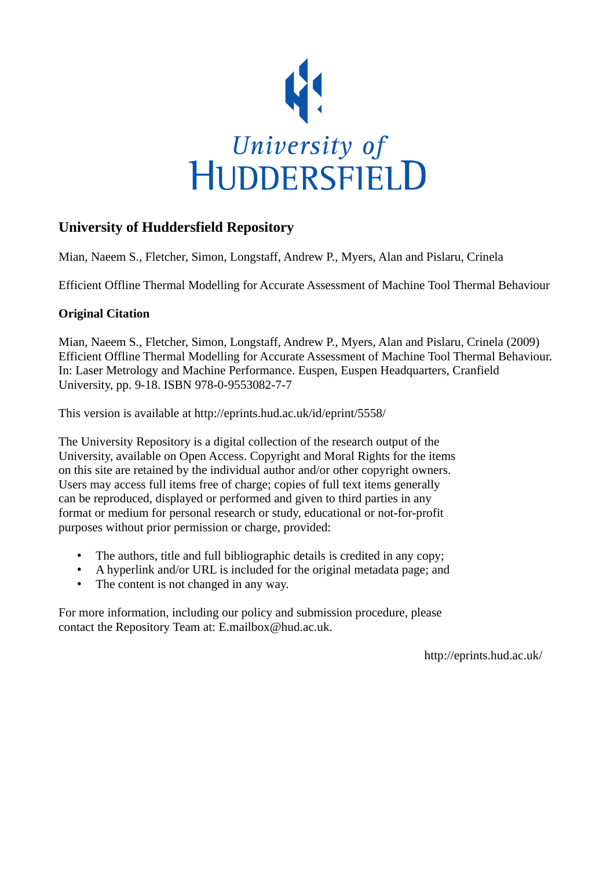

# **University of Huddersfield Repository**

Mian, Naeem S., Fletcher, Simon, Longstaff, Andrew P., Myers, Alan and Pislaru, Crinela

Efficient Offline Thermal Modelling for Accurate Assessment of Machine Tool Thermal Behaviour

## **Original Citation**

Mian, Naeem S., Fletcher, Simon, Longstaff, Andrew P., Myers, Alan and Pislaru, Crinela (2009) Efficient Offline Thermal Modelling for Accurate Assessment of Machine Tool Thermal Behaviour. In: Laser Metrology and Machine Performance. Euspen, Euspen Headquarters, Cranfield University, pp. 9-18. ISBN 978-0-9553082-7-7

This version is available at http://eprints.hud.ac.uk/id/eprint/5558/

The University Repository is a digital collection of the research output of the University, available on Open Access. Copyright and Moral Rights for the items on this site are retained by the individual author and/or other copyright owners. Users may access full items free of charge; copies of full text items generally can be reproduced, displayed or performed and given to third parties in any format or medium for personal research or study, educational or not-for-profit purposes without prior permission or charge, provided:

- The authors, title and full bibliographic details is credited in any copy;
- A hyperlink and/or URL is included for the original metadata page; and
- The content is not changed in any way.

For more information, including our policy and submission procedure, please contact the Repository Team at: E.mailbox@hud.ac.uk.

http://eprints.hud.ac.uk/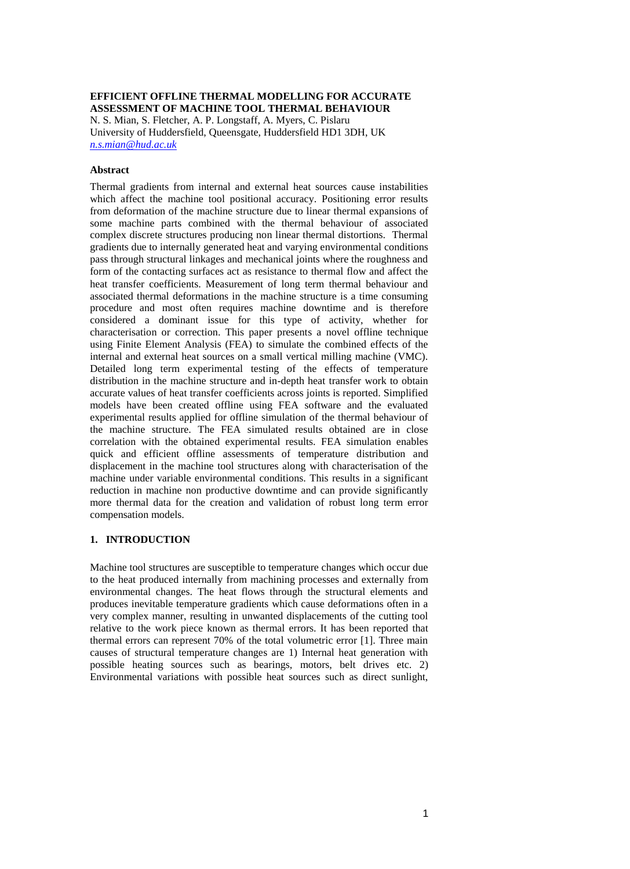## **EFFICIENT OFFLINE THERMAL MODELLING FOR ACCURATE ASSESSMENT OF MACHINE TOOL THERMAL BEHAVIOUR** N. S. Mian, S. Fletcher, A. P. Longstaff, A. Myers, C. Pislaru University of Huddersfield, Queensgate, Huddersfield HD1 3DH, UK

*[n.s.mian@hud.ac.uk](mailto:n.s.mian@hud.ac.uk)*

#### **Abstract**

Thermal gradients from internal and external heat sources cause instabilities which affect the machine tool positional accuracy. Positioning error results from deformation of the machine structure due to linear thermal expansions of some machine parts combined with the thermal behaviour of associated complex discrete structures producing non linear thermal distortions. Thermal gradients due to internally generated heat and varying environmental conditions pass through structural linkages and mechanical joints where the roughness and form of the contacting surfaces act as resistance to thermal flow and affect the heat transfer coefficients. Measurement of long term thermal behaviour and associated thermal deformations in the machine structure is a time consuming procedure and most often requires machine downtime and is therefore considered a dominant issue for this type of activity, whether for characterisation or correction. This paper presents a novel offline technique using Finite Element Analysis (FEA) to simulate the combined effects of the internal and external heat sources on a small vertical milling machine (VMC). Detailed long term experimental testing of the effects of temperature distribution in the machine structure and in-depth heat transfer work to obtain accurate values of heat transfer coefficients across joints is reported. Simplified models have been created offline using FEA software and the evaluated experimental results applied for offline simulation of the thermal behaviour of the machine structure. The FEA simulated results obtained are in close correlation with the obtained experimental results. FEA simulation enables quick and efficient offline assessments of temperature distribution and displacement in the machine tool structures along with characterisation of the machine under variable environmental conditions. This results in a significant reduction in machine non productive downtime and can provide significantly more thermal data for the creation and validation of robust long term error compensation models.

#### **1. INTRODUCTION**

Machine tool structures are susceptible to temperature changes which occur due to the heat produced internally from machining processes and externally from environmental changes. The heat flows through the structural elements and produces inevitable temperature gradients which cause deformations often in a very complex manner, resulting in unwanted displacements of the cutting tool relative to the work piece known as thermal errors. It has been reported that thermal errors can represent 70% of the total volumetric error [1]. Three main causes of structural temperature changes are 1) Internal heat generation with possible heating sources such as bearings, motors, belt drives etc. 2) Environmental variations with possible heat sources such as direct sunlight,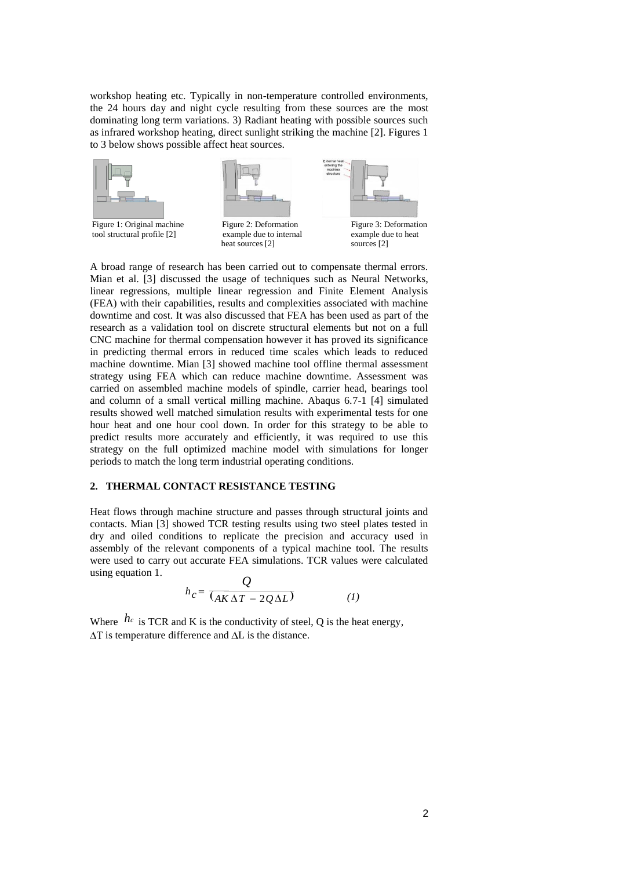workshop heating etc. Typically in non-temperature controlled environments, the 24 hours day and night cycle resulting from these sources are the most dominating long term variations. 3) Radiant heating with possible sources such as infrared workshop heating, direct sunlight striking the machine [2]. Figures 1 to 3 below shows possible affect heat sources.



A broad range of research has been carried out to compensate thermal errors. Mian et al. [3] discussed the usage of techniques such as Neural Networks, linear regressions, multiple linear regression and Finite Element Analysis (FEA) with their capabilities, results and complexities associated with machine downtime and cost. It was also discussed that FEA has been used as part of the research as a validation tool on discrete structural elements but not on a full CNC machine for thermal compensation however it has proved its significance in predicting thermal errors in reduced time scales which leads to reduced machine downtime. Mian [3] showed machine tool offline thermal assessment strategy using FEA which can reduce machine downtime. Assessment was carried on assembled machine models of spindle, carrier head, bearings tool and column of a small vertical milling machine. Abaqus 6.7-1 [4] simulated results showed well matched simulation results with experimental tests for one hour heat and one hour cool down. In order for this strategy to be able to predict results more accurately and efficiently, it was required to use this strategy on the full optimized machine model with simulations for longer periods to match the long term industrial operating conditions.

## **2. THERMAL CONTACT RESISTANCE TESTING**

Heat flows through machine structure and passes through structural joints and contacts. Mian [3] showed TCR testing results using two steel plates tested in dry and oiled conditions to replicate the precision and accuracy used in assembly of the relevant components of a typical machine tool. The results were used to carry out accurate FEA simulations. TCR values were calculated using equation 1.

$$
h_c = \frac{Q}{(\Delta K \Delta T - 2Q\Delta L)}
$$
 (1)

Where  $h_c$  is TCR and K is the conductivity of steel, Q is the heat energy,  $\Delta T$  is temperature difference and  $\Delta L$  is the distance.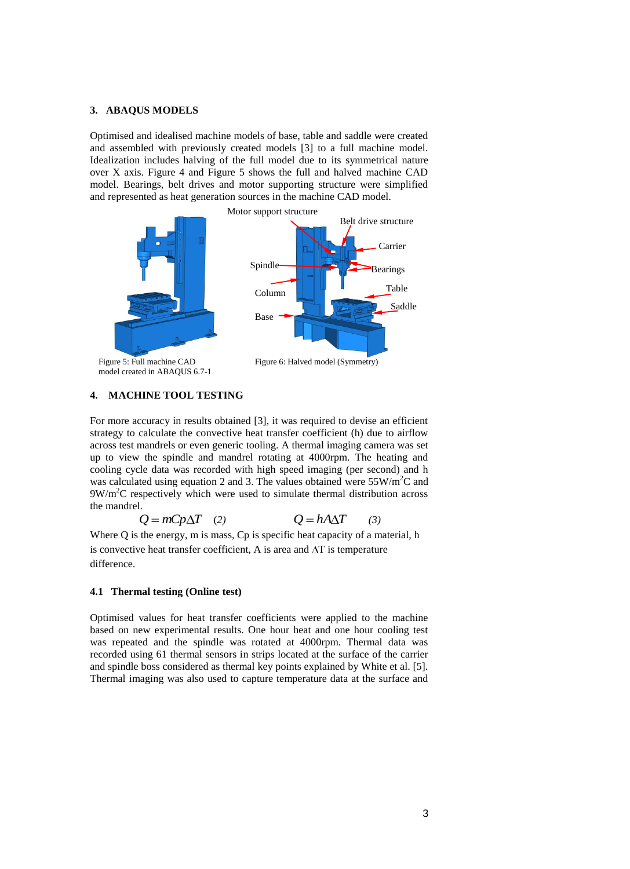## **3. ABAQUS MODELS**

Optimised and idealised machine models of base, table and saddle were created and assembled with previously created models [3] to a full machine model. Idealization includes halving of the full model due to its symmetrical nature over X axis. Figure 4 and Figure 5 shows the full and halved machine CAD model. Bearings, belt drives and motor supporting structure were simplified and represented as heat generation sources in the machine CAD model.



## **4. MACHINE TOOL TESTING**

For more accuracy in results obtained [3], it was required to devise an efficient strategy to calculate the convective heat transfer coefficient (h) due to airflow across test mandrels or even generic tooling. A thermal imaging camera was set up to view the spindle and mandrel rotating at 4000rpm. The heating and cooling cycle data was recorded with high speed imaging (per second) and h was calculated using equation 2 and 3. The values obtained were  $55W/m<sup>2</sup>C$  and  $9W/m<sup>2</sup>C$  respectively which were used to simulate thermal distribution across the mandrel.

$$
Q = mCp\Delta T \quad (2) \qquad Q = hA\Delta T \quad (3)
$$

Where Q is the energy, m is mass, Cp is specific heat capacity of a material, h is convective heat transfer coefficient, A is area and  $\Delta T$  is temperature difference.

#### **4.1 Thermal testing (Online test)**

Optimised values for heat transfer coefficients were applied to the machine based on new experimental results. One hour heat and one hour cooling test was repeated and the spindle was rotated at 4000rpm. Thermal data was recorded using 61 thermal sensors in strips located at the surface of the carrier and spindle boss considered as thermal key points explained by White et al. [5]. Thermal imaging was also used to capture temperature data at the surface and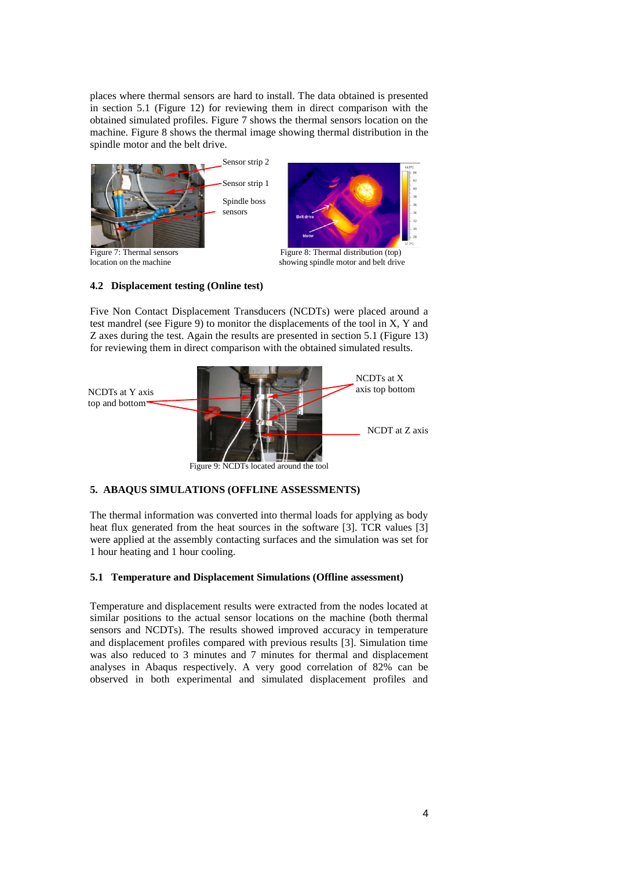places where thermal sensors are hard to install. The data obtained is presented in section 5.1 (Figure 12) for reviewing them in direct comparison with the obtained simulated profiles. Figure 7 shows the thermal sensors location on the machine. Figure 8 shows the thermal image showing thermal distribution in the spindle motor and the belt drive.



location on the machine showing spindle motor and belt drive

## **4.2 Displacement testing (Online test)**

Five Non Contact Displacement Transducers (NCDTs) were placed around a test mandrel (see Figure 9) to monitor the displacements of the tool in X, Y and Z axes during the test. Again the results are presented in section 5.1 (Figure 13) for reviewing them in direct comparison with the obtained simulated results.



Figure 9: NCDTs located around the tool

## **5. ABAQUS SIMULATIONS (OFFLINE ASSESSMENTS)**

The thermal information was converted into thermal loads for applying as body heat flux generated from the heat sources in the software [3]. TCR values [3] were applied at the assembly contacting surfaces and the simulation was set for 1 hour heating and 1 hour cooling.

## **5.1 Temperature and Displacement Simulations (Offline assessment)**

Temperature and displacement results were extracted from the nodes located at similar positions to the actual sensor locations on the machine (both thermal sensors and NCDTs). The results showed improved accuracy in temperature and displacement profiles compared with previous results [3]. Simulation time was also reduced to 3 minutes and 7 minutes for thermal and displacement analyses in Abaqus respectively. A very good correlation of 82% can be observed in both experimental and simulated displacement profiles and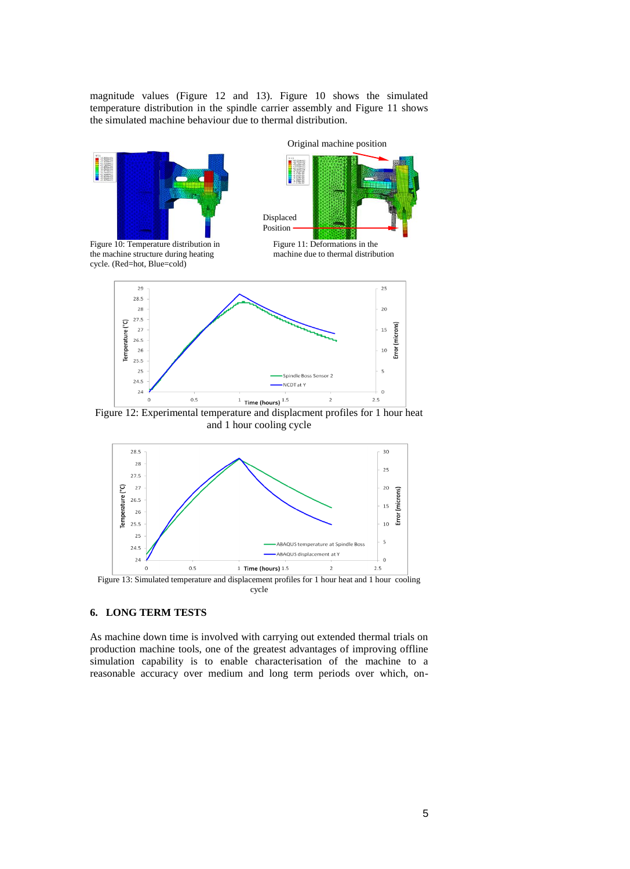magnitude values (Figure 12 and 13). Figure 10 shows the simulated temperature distribution in the spindle carrier assembly and Figure 11 shows the simulated machine behaviour due to thermal distribution.



and 1 hour cooling cycle



**6. LONG TERM TESTS**

As machine down time is involved with carrying out extended thermal trials on production machine tools, one of the greatest advantages of improving offline simulation capability is to enable characterisation of the machine to a reasonable accuracy over medium and long term periods over which, on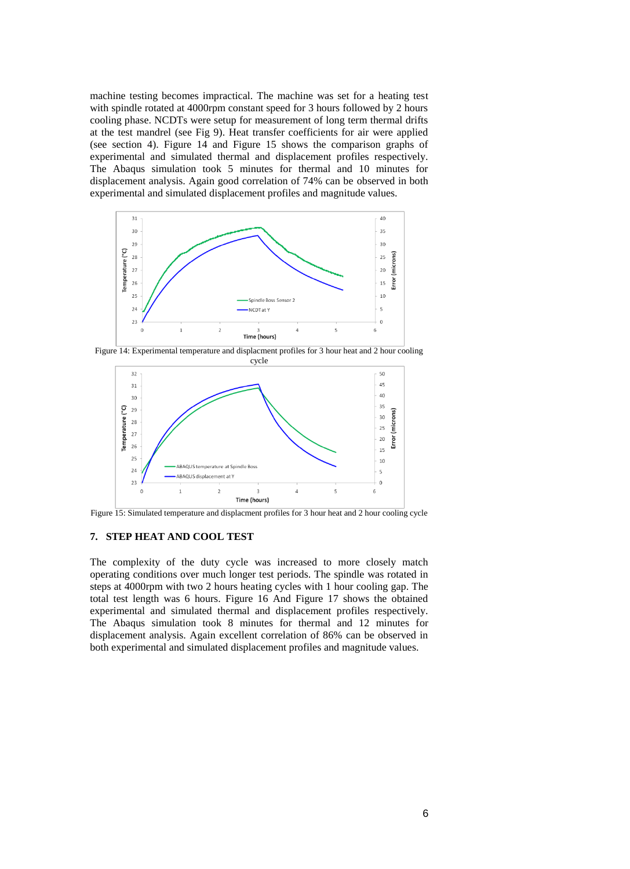machine testing becomes impractical. The machine was set for a heating test with spindle rotated at 4000rpm constant speed for 3 hours followed by 2 hours cooling phase. NCDTs were setup for measurement of long term thermal drifts at the test mandrel (see Fig 9). Heat transfer coefficients for air were applied (see section 4). Figure 14 and Figure 15 shows the comparison graphs of experimental and simulated thermal and displacement profiles respectively. The Abaqus simulation took 5 minutes for thermal and 10 minutes for displacement analysis. Again good correlation of 74% can be observed in both experimental and simulated displacement profiles and magnitude values.



Figure 14: Experimental temperature and displacment profiles for 3 hour heat and 2 hour cooling



Figure 15: Simulated temperature and displacment profiles for 3 hour heat and 2 hour cooling cycle

### **7. STEP HEAT AND COOL TEST**

The complexity of the duty cycle was increased to more closely match operating conditions over much longer test periods. The spindle was rotated in steps at 4000rpm with two 2 hours heating cycles with 1 hour cooling gap. The total test length was 6 hours. Figure 16 And Figure 17 shows the obtained experimental and simulated thermal and displacement profiles respectively. The Abaqus simulation took 8 minutes for thermal and 12 minutes for displacement analysis. Again excellent correlation of 86% can be observed in both experimental and simulated displacement profiles and magnitude values.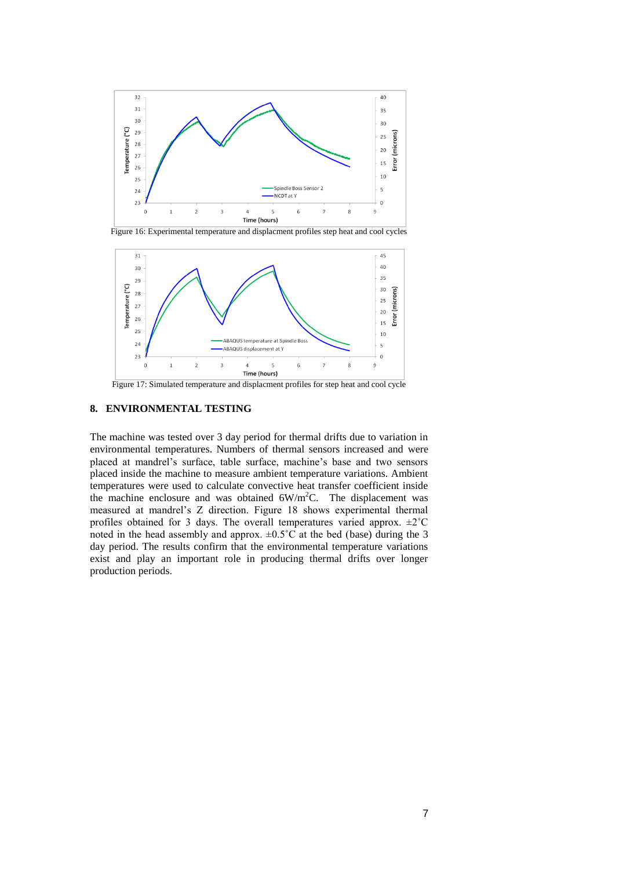

Figure 16: Experimental temperature and displacment profiles step heat and cool cycles



Figure 17: Simulated temperature and displacment profiles for step heat and cool cycle

## **8. ENVIRONMENTAL TESTING**

The machine was tested over 3 day period for thermal drifts due to variation in environmental temperatures. Numbers of thermal sensors increased and were placed at mandrel's surface, table surface, machine's base and two sensors placed inside the machine to measure ambient temperature variations. Ambient temperatures were used to calculate convective heat transfer coefficient inside the machine enclosure and was obtained  $6W/m<sup>2</sup>C$ . The displacement was measured at mandrel's Z direction. Figure 18 shows experimental thermal profiles obtained for 3 days. The overall temperatures varied approx. ±2˚C noted in the head assembly and approx.  $\pm 0.5^{\circ}$ C at the bed (base) during the 3 day period. The results confirm that the environmental temperature variations exist and play an important role in producing thermal drifts over longer production periods.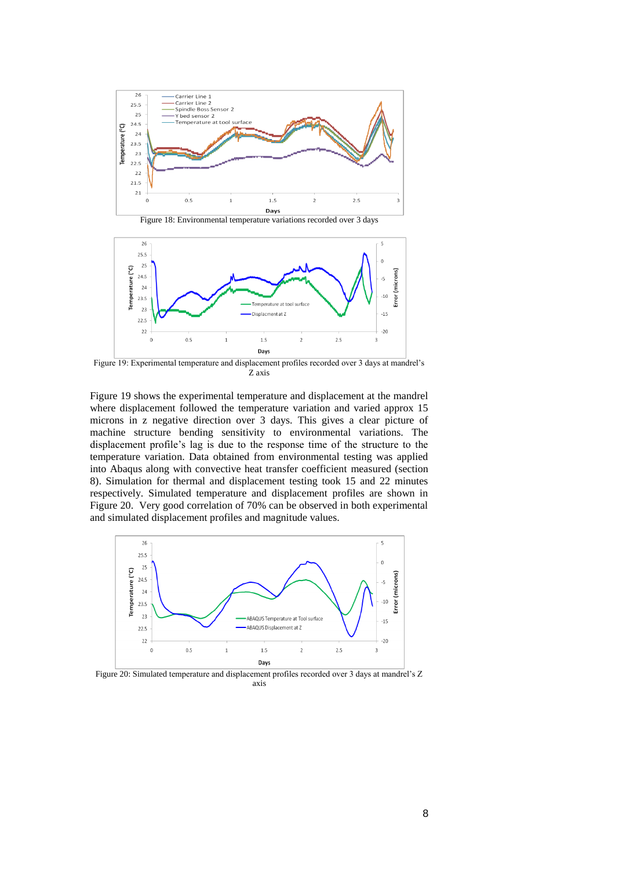

Figure 18: Environmental temperature variations recorded over 3 days



Figure 19: Experimental temperature and displacement profiles recorded over 3 days at mandrel's Z axis

Figure 19 shows the experimental temperature and displacement at the mandrel where displacement followed the temperature variation and varied approx 15 microns in z negative direction over 3 days. This gives a clear picture of machine structure bending sensitivity to environmental variations. The displacement profile's lag is due to the response time of the structure to the temperature variation. Data obtained from environmental testing was applied into Abaqus along with convective heat transfer coefficient measured (section 8). Simulation for thermal and displacement testing took 15 and 22 minutes respectively. Simulated temperature and displacement profiles are shown in Figure 20. Very good correlation of 70% can be observed in both experimental and simulated displacement profiles and magnitude values.



Figure 20: Simulated temperature and displacement profiles recorded over 3 days at mandrel's Z axis